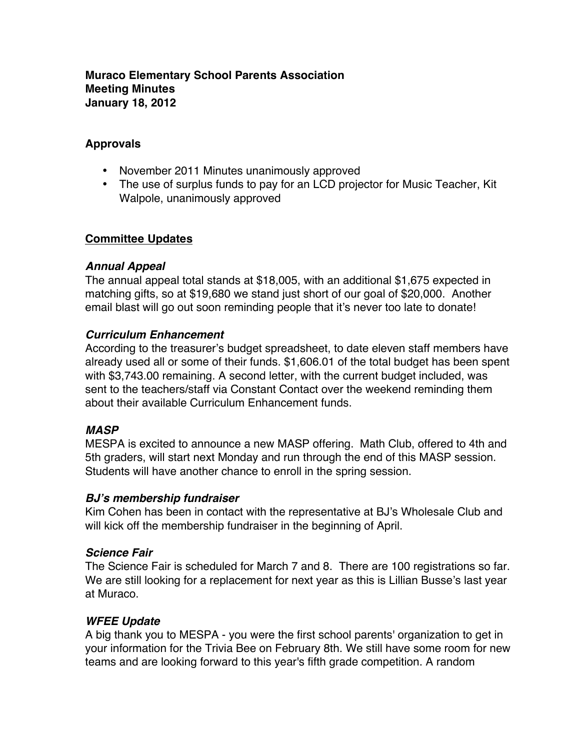#### **Muraco Elementary School Parents Association Meeting Minutes January 18, 2012**

# **Approvals**

- November 2011 Minutes unanimously approved
- The use of surplus funds to pay for an LCD projector for Music Teacher, Kit Walpole, unanimously approved

# **Committee Updates**

#### *Annual Appeal*

The annual appeal total stands at \$18,005, with an additional \$1,675 expected in matching gifts, so at \$19,680 we stand just short of our goal of \$20,000. Another email blast will go out soon reminding people that it's never too late to donate!

# *Curriculum Enhancement*

According to the treasurer's budget spreadsheet, to date eleven staff members have already used all or some of their funds. \$1,606.01 of the total budget has been spent with \$3,743.00 remaining. A second letter, with the current budget included, was sent to the teachers/staff via Constant Contact over the weekend reminding them about their available Curriculum Enhancement funds.

#### *MASP*

MESPA is excited to announce a new MASP offering. Math Club, offered to 4th and 5th graders, will start next Monday and run through the end of this MASP session. Students will have another chance to enroll in the spring session.

# *BJ***'***s membership fundraiser*

Kim Cohen has been in contact with the representative at BJ's Wholesale Club and will kick off the membership fundraiser in the beginning of April.

#### *Science Fair*

The Science Fair is scheduled for March 7 and 8. There are 100 registrations so far. We are still looking for a replacement for next year as this is Lillian Busse's last year at Muraco.

# *WFEE Update*

A big thank you to MESPA - you were the first school parents' organization to get in your information for the Trivia Bee on February 8th. We still have some room for new teams and are looking forward to this year's fifth grade competition. A random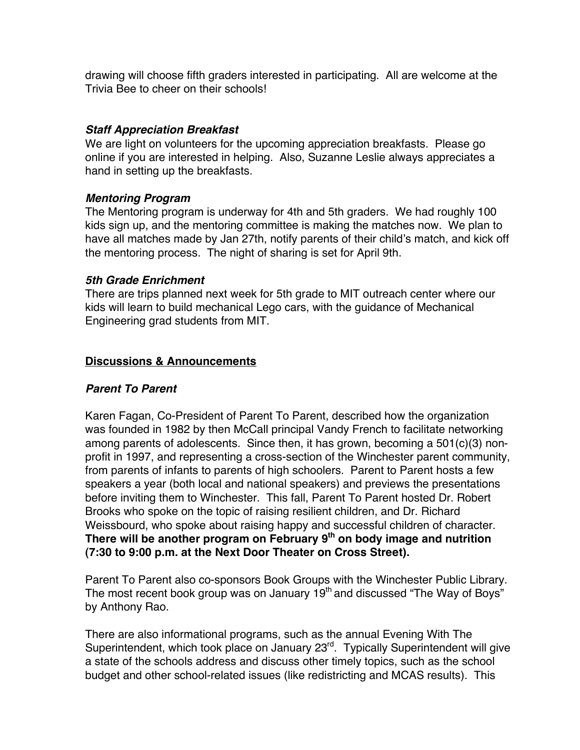drawing will choose fifth graders interested in participating. All are welcome at the Trivia Bee to cheer on their schools!

# *Staff Appreciation Breakfast*

We are light on volunteers for the upcoming appreciation breakfasts. Please go online if you are interested in helping. Also, Suzanne Leslie always appreciates a hand in setting up the breakfasts.

# *Mentoring Program*

The Mentoring program is underway for 4th and 5th graders. We had roughly 100 kids sign up, and the mentoring committee is making the matches now. We plan to have all matches made by Jan 27th, notify parents of their child's match, and kick off the mentoring process. The night of sharing is set for April 9th.

# *5th Grade Enrichment*

There are trips planned next week for 5th grade to MIT outreach center where our kids will learn to build mechanical Lego cars, with the guidance of Mechanical Engineering grad students from MIT.

# **Discussions & Announcements**

# *Parent To Parent*

Karen Fagan, Co-President of Parent To Parent, described how the organization was founded in 1982 by then McCall principal Vandy French to facilitate networking among parents of adolescents. Since then, it has grown, becoming a 501(c)(3) nonprofit in 1997, and representing a cross-section of the Winchester parent community, from parents of infants to parents of high schoolers. Parent to Parent hosts a few speakers a year (both local and national speakers) and previews the presentations before inviting them to Winchester. This fall, Parent To Parent hosted Dr. Robert Brooks who spoke on the topic of raising resilient children, and Dr. Richard Weissbourd, who spoke about raising happy and successful children of character. There will be another program on February 9<sup>th</sup> on body image and nutrition **(7:30 to 9:00 p.m. at the Next Door Theater on Cross Street).**

Parent To Parent also co-sponsors Book Groups with the Winchester Public Library. The most recent book group was on January  $19<sup>th</sup>$  and discussed "The Way of Boys" by Anthony Rao.

There are also informational programs, such as the annual Evening With The Superintendent, which took place on January 23<sup>rd</sup>. Typically Superintendent will give a state of the schools address and discuss other timely topics, such as the school budget and other school-related issues (like redistricting and MCAS results). This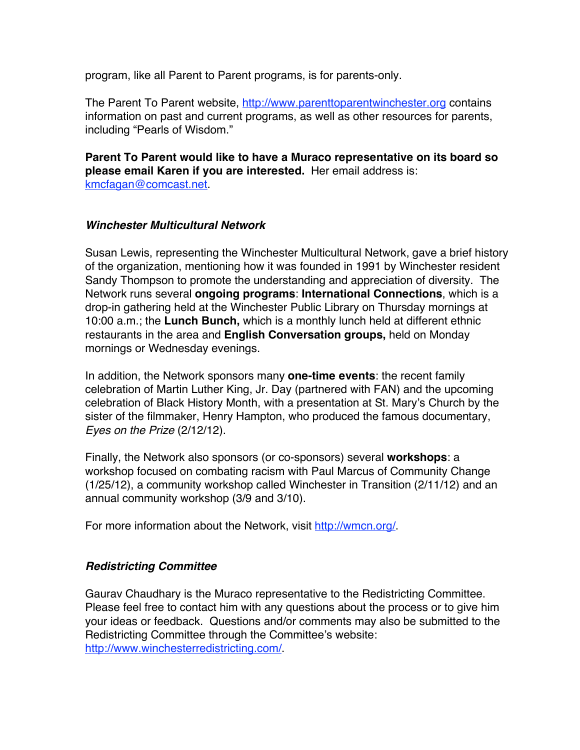program, like all Parent to Parent programs, is for parents-only.

The Parent To Parent website, http://www.parenttoparentwinchester.org contains information on past and current programs, as well as other resources for parents, including "Pearls of Wisdom."

#### **Parent To Parent would like to have a Muraco representative on its board so please email Karen if you are interested.** Her email address is: kmcfagan@comcast.net.

#### *Winchester Multicultural Network*

Susan Lewis, representing the Winchester Multicultural Network, gave a brief history of the organization, mentioning how it was founded in 1991 by Winchester resident Sandy Thompson to promote the understanding and appreciation of diversity. The Network runs several **ongoing programs**: **International Connections**, which is a drop-in gathering held at the Winchester Public Library on Thursday mornings at 10:00 a.m.; the **Lunch Bunch,** which is a monthly lunch held at different ethnic restaurants in the area and **English Conversation groups,** held on Monday mornings or Wednesday evenings.

In addition, the Network sponsors many **one-time events**: the recent family celebration of Martin Luther King, Jr. Day (partnered with FAN) and the upcoming celebration of Black History Month, with a presentation at St. Mary's Church by the sister of the filmmaker, Henry Hampton, who produced the famous documentary, *Eyes on the Prize* (2/12/12).

Finally, the Network also sponsors (or co-sponsors) several **workshops**: a workshop focused on combating racism with Paul Marcus of Community Change (1/25/12), a community workshop called Winchester in Transition (2/11/12) and an annual community workshop (3/9 and 3/10).

For more information about the Network, visit http://wmcn.org/

#### *Redistricting Committee*

Gaurav Chaudhary is the Muraco representative to the Redistricting Committee. Please feel free to contact him with any questions about the process or to give him your ideas or feedback. Questions and/or comments may also be submitted to the Redistricting Committee through the Committee's website: http://www.winchesterredistricting.com/.